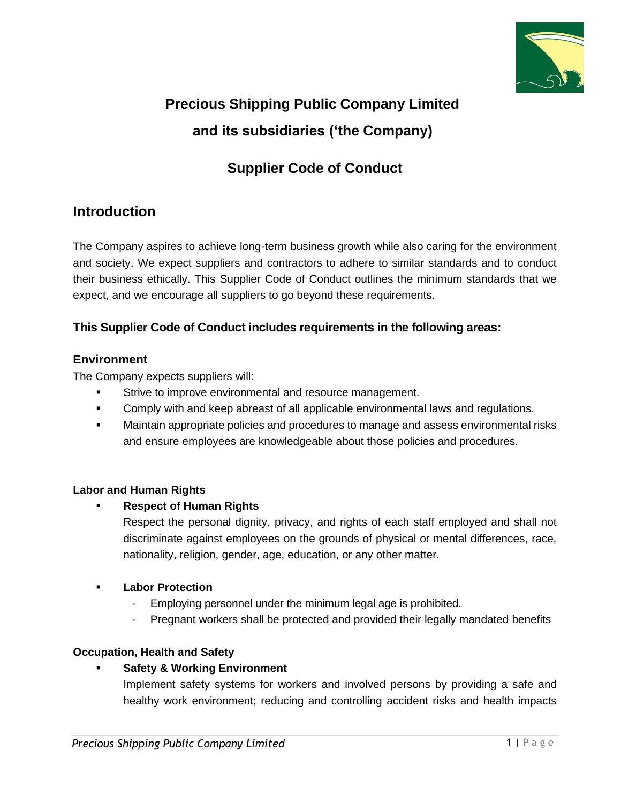

# **Precious Shipping Public Company Limited and its subsidiaries ('the Company)**

# **Supplier Code of Conduct**

# **Introduction**

The Company aspires to achieve long-term business growth while also caring for the environment and society. We expect suppliers and contractors to adhere to similar standards and to conduct their business ethically. This Supplier Code of Conduct outlines the minimum standards that we expect, and we encourage all suppliers to go beyond these requirements.

# **This Supplier Code of Conduct includes requirements in the following areas:**

# **Environment**

The Company expects suppliers will:

- **EXECT:** Strive to improve environmental and resource management.
- **•** Comply with and keep abreast of all applicable environmental laws and regulations.
- **■** Maintain appropriate policies and procedures to manage and assess environmental risks and ensure employees are knowledgeable about those policies and procedures.

# **Labor and Human Rights**

# **Respect of Human Rights**

Respect the personal dignity, privacy, and rights of each staff employed and shall not discriminate against employees on the grounds of physical or mental differences, race, nationality, religion, gender, age, education, or any other matter.

#### ▪ **Labor Protection**

- Employing personnel under the minimum legal age is prohibited.
- Pregnant workers shall be protected and provided their legally mandated benefits

# **Occupation, Health and Safety**

#### **Safety & Working Environment**

Implement safety systems for workers and involved persons by providing a safe and healthy work environment; reducing and controlling accident risks and health impacts